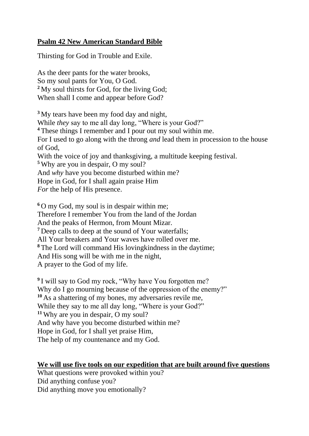## **Psalm 42 New American Standard Bible**

Thirsting for God in Trouble and Exile.

As the deer pants for the water brooks, So my soul pants for You, O God. **<sup>2</sup>** My soul thirsts for God, for the living God; When shall I come and appear before God?

**<sup>3</sup>** My tears have been my food day and night, While *they* say to me all day long, "Where is your God?" **<sup>4</sup>** These things I remember and I pour out my soul within me. For I used to go along with the throng *and* lead them in procession to the house of God, With the voice of joy and thanksgiving, a multitude keeping festival. **<sup>5</sup>** Why are you in despair, O my soul? And *why* have you become disturbed within me? Hope in God, for I shall again praise Him *For* the help of His presence.

**<sup>6</sup>** O my God, my soul is in despair within me; Therefore I remember You from the land of the Jordan And the peaks of Hermon, from Mount Mizar. **<sup>7</sup>** Deep calls to deep at the sound of Your waterfalls; All Your breakers and Your waves have rolled over me. **<sup>8</sup>** The Lord will command His lovingkindness in the daytime; And His song will be with me in the night, A prayer to the God of my life.

<sup>9</sup> I will say to God my rock, "Why have You forgotten me? Why do I go mourning because of the oppression of the enemy?" **<sup>10</sup>** As a shattering of my bones, my adversaries revile me, While they say to me all day long, "Where is your God?" **<sup>11</sup>** Why are you in despair, O my soul? And why have you become disturbed within me? Hope in God, for I shall yet praise Him, The help of my countenance and my God.

## **We will use five tools on our expedition that are built around five questions**

What questions were provoked within you? Did anything confuse you? Did anything move you emotionally?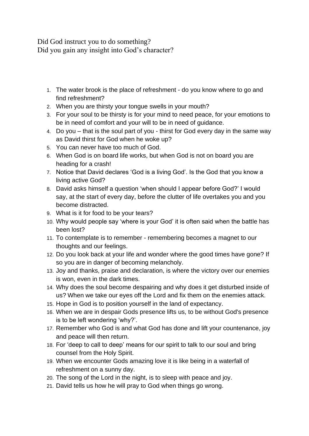Did God instruct you to do something? Did you gain any insight into God's character?

- 1. The water brook is the place of refreshment do you know where to go and find refreshment?
- 2. When you are thirsty your tongue swells in your mouth?
- 3. For your soul to be thirsty is for your mind to need peace, for your emotions to be in need of comfort and your will to be in need of guidance.
- 4. Do you that is the soul part of you thirst for God every day in the same way as David thirst for God when he woke up?
- 5. You can never have too much of God.
- 6. When God is on board life works, but when God is not on board you are heading for a crash!
- 7. Notice that David declares 'God is a living God'. Is the God that you know a living active God?
- 8. David asks himself a question 'when should I appear before God?' I would say, at the start of every day, before the clutter of life overtakes you and you become distracted.
- 9. What is it for food to be your tears?
- 10. Why would people say 'where is your God' it is often said when the battle has been lost?
- 11. To contemplate is to remember remembering becomes a magnet to our thoughts and our feelings.
- 12. Do you look back at your life and wonder where the good times have gone? If so you are in danger of becoming melancholy.
- 13. Joy and thanks, praise and declaration, is where the victory over our enemies is won, even in the dark times.
- 14. Why does the soul become despairing and why does it get disturbed inside of us? When we take our eyes off the Lord and fix them on the enemies attack.
- 15. Hope in God is to position yourself in the land of expectancy.
- 16. When we are in despair Gods presence lifts us, to be without God's presence is to be left wondering 'why?'.
- 17. Remember who God is and what God has done and lift your countenance, joy and peace will then return.
- 18. For 'deep to call to deep' means for our spirit to talk to our soul and bring counsel from the Holy Spirit.
- 19. When we encounter Gods amazing love it is like being in a waterfall of refreshment on a sunny day.
- 20. The song of the Lord in the night, is to sleep with peace and joy.
- 21. David tells us how he will pray to God when things go wrong.